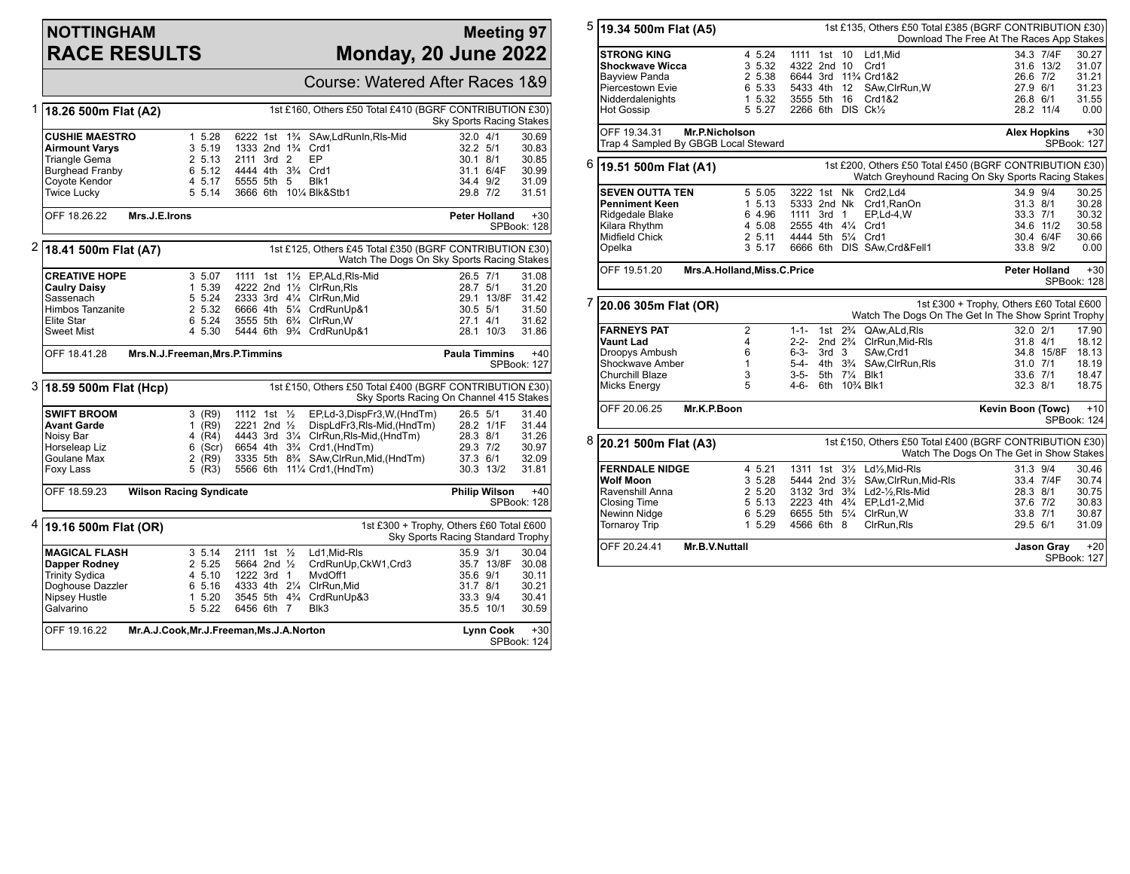## **NOTTINGHAM RACE RESULTS**

#### **Meeting 97 Monday, 20 June 2022**

|   |                                                                                                                               |                                                                       |                                             |  |  | Course: Watered After Races 1&9                                               |                          |                  |                      |
|---|-------------------------------------------------------------------------------------------------------------------------------|-----------------------------------------------------------------------|---------------------------------------------|--|--|-------------------------------------------------------------------------------|--------------------------|------------------|----------------------|
| 1 | 18.26 500m Flat (A2)                                                                                                          |                                                                       |                                             |  |  | 1st £160, Others £50 Total £410 (BGRF CONTRIBUTION £30)                       | Sky Sports Racing Stakes |                  |                      |
|   | <b>CUSHIE MAESTRO</b>                                                                                                         | 1 5.28                                                                |                                             |  |  | 6222 1st 1 <sup>3</sup> / <sub>4</sub> SAw, Ld Run In, RIs-Mid                | $32.0$ 4/1               |                  | 30.69                |
|   | <b>Airmount Varys</b>                                                                                                         | 3 5.19                                                                | 1333 2nd 1 <sup>3</sup> / <sub>4</sub> Crd1 |  |  |                                                                               | 32.2 5/1                 |                  | 30.83                |
|   | Triangle Gema                                                                                                                 | 2 5.13                                                                | 2111 3rd 2                                  |  |  | EP                                                                            | $30.1$ $8/1$             |                  | 30.85                |
|   | <b>Burghead Franby</b>                                                                                                        | 6 5.12                                                                | 4444 4th 3 <sup>3</sup> / <sub>4</sub> Crd1 |  |  |                                                                               |                          | 31.1 6/4F        | 30.99                |
|   | Coyote Kendor                                                                                                                 | 4 5.17                                                                | 5555 5th 5                                  |  |  | Blk1                                                                          | 34.4 9/2                 |                  | 31.09                |
|   | <b>Twice Lucky</b>                                                                                                            | 5 5.14                                                                |                                             |  |  | 3666 6th 101/4 Blk&Stb1                                                       | 29.8 7/2                 |                  | 31.51                |
|   | OFF 18.26.22<br>Mrs.J.E.Irons                                                                                                 |                                                                       |                                             |  |  |                                                                               | <b>Peter Holland</b>     |                  | $+30$<br>SPBook: 128 |
| 2 | 1st £125, Others £45 Total £350 (BGRF CONTRIBUTION £30)<br>18.41 500m Flat (A7)<br>Watch The Dogs On Sky Sports Racing Stakes |                                                                       |                                             |  |  |                                                                               |                          |                  |                      |
|   | <b>CREATIVE HOPE</b>                                                                                                          | 3 5.07                                                                | 1111 1st                                    |  |  | 11/2 EP, ALd, RIs-Mid                                                         | 26.5 7/1                 |                  | 31.08                |
|   | <b>Caulry Daisy</b>                                                                                                           | 1 5.39                                                                |                                             |  |  | 4222 2nd 11/2 ClrRun.RIs                                                      | 28.7 5/1                 |                  | 31.20                |
|   | Sassenach                                                                                                                     | 5 5.24                                                                |                                             |  |  | 2333 3rd 41/4 ClrRun, Mid                                                     |                          | 29.1 13/8F       | 31.42                |
|   | <b>Himbos Tanzanite</b>                                                                                                       | 2 5.32                                                                |                                             |  |  | 6666 4th 51/4 CrdRunUp&1                                                      | 30.5 5/1                 |                  | 31.50                |
|   | Elite Star                                                                                                                    | 6 5.24                                                                |                                             |  |  | 3555 5th 63/4 ClrRun.W                                                        | $27.1$ 4/1               |                  | 31.62                |
|   | <b>Sweet Mist</b>                                                                                                             | 4 5.30                                                                |                                             |  |  | 5444 6th 93/4 CrdRunUp&1                                                      |                          | 28.1 10/3        | 31.86                |
|   | OFF 18.41.28                                                                                                                  | Mrs.N.J.Freeman, Mrs.P.Timmins<br><b>Paula Timmins</b><br>SPBook: 127 |                                             |  |  |                                                                               |                          |                  | $+40$                |
|   | 3 18.59 500m Flat (Hcp)<br>1st £150, Others £50 Total £400 (BGRF CONTRIBUTION £30)<br>Sky Sports Racing On Channel 415 Stakes |                                                                       |                                             |  |  |                                                                               |                          |                  |                      |
|   | <b>SWIFT BROOM</b>                                                                                                            | $3$ (R9)                                                              | 1112 1st 1/2                                |  |  | EP,Ld-3,DispFr3,W,(HndTm)                                                     | 26.5 5/1                 |                  | 31.40                |
|   | <b>Avant Garde</b>                                                                                                            | 1 $(R9)$                                                              | 2221 2nd $\frac{1}{2}$                      |  |  | DispLdFr3,Rls-Mid,(HndTm)                                                     |                          | 28.2 1/1F        | 31.44                |
|   | Noisy Bar                                                                                                                     | 4 (R4)                                                                |                                             |  |  | 4443 3rd 31/4 ClrRun, RIs-Mid, (HndTm)                                        | 28.3 8/1                 |                  | 31.26                |
|   | Horseleap Liz                                                                                                                 | $6$ (Scr)                                                             |                                             |  |  | 6654 4th 3 <sup>3</sup> / <sub>4</sub> Crd1, (HndTm)                          | 29.3 7/2                 |                  | 30.97                |
|   | Goulane Max                                                                                                                   | $2$ (R9)                                                              |                                             |  |  | 3335 5th 8 <sup>3</sup> / <sub>4</sub> SAw, ClrRun, Mid, (HndTm)              | 37.3 6/1                 |                  | 32.09                |
|   | Foxy Lass                                                                                                                     | $5$ (R3)                                                              |                                             |  |  | 5566 6th 111/4 Crd1, (HndTm)                                                  |                          | 30.3 13/2        | 31.81                |
|   | OFF 18.59.23                                                                                                                  | <b>Wilson Racing Syndicate</b><br><b>Philip Wilson</b><br>SPBook: 128 |                                             |  |  |                                                                               |                          |                  | $+40$                |
| 4 | 19.16 500m Flat (OR)                                                                                                          |                                                                       |                                             |  |  | 1st £300 + Trophy, Others £60 Total £600<br>Sky Sports Racing Standard Trophy |                          |                  |                      |
|   | <b>MAGICAL FLASH</b>                                                                                                          | 3, 5.14                                                               | 2111 1st 1/2                                |  |  | Ld1, Mid-RIs                                                                  | 35.9 3/1                 |                  | 30.04                |
|   | Dapper Rodney                                                                                                                 | 2 5.25                                                                | 5664 2nd 1/2                                |  |  | CrdRunUp,CkW1,Crd3                                                            |                          | 35.7 13/8F       | 30.08                |
|   | <b>Trinity Sydica</b>                                                                                                         | 4 5.10                                                                | 1222 3rd 1                                  |  |  | MvdOff1                                                                       | 35.6 9/1                 |                  | 30.11                |
|   | Doghouse Dazzler                                                                                                              | 6 5.16                                                                |                                             |  |  | 4333 4th 21/4 ClrRun, Mid                                                     | 31.7 8/1                 |                  | 30.21                |
|   | Nipsey Hustle                                                                                                                 | 1 5.20                                                                | 3545 5th 4 <sup>3</sup> / <sub>4</sub>      |  |  | CrdRunUp&3                                                                    | 33.3 9/4                 |                  | 30.41                |
|   | Galvarino                                                                                                                     | 5 5.22                                                                | 6456 6th 7                                  |  |  | Blk3                                                                          |                          | 35.5 10/1        | 30.59                |
|   | OFF 19.16.22                                                                                                                  | Mr.A.J.Cook, Mr.J.Freeman, Ms.J.A.Norton                              |                                             |  |  |                                                                               |                          | <b>Lynn Cook</b> | $+30$<br>SPBook: 124 |

| 5 | 19.34 500m Flat (A5)                 |                             |                    |                    |                                         | 1st £135, Others £50 Total £385 (BGRF CONTRIBUTION £30)<br>Download The Free At The Races App Stakes |                                          |                     |             |
|---|--------------------------------------|-----------------------------|--------------------|--------------------|-----------------------------------------|------------------------------------------------------------------------------------------------------|------------------------------------------|---------------------|-------------|
|   | <b>STRONG KING</b>                   | 4 5.24                      | 1111 1st 10        |                    |                                         | Ld1.Mid                                                                                              |                                          | 34.3 7/4F           | 30.27       |
|   | <b>Shockwave Wicca</b>               | 3 5.32                      | 4322 2nd 10        |                    |                                         | Crd1                                                                                                 |                                          | 31.6 13/2           | 31.07       |
|   |                                      |                             |                    |                    |                                         |                                                                                                      |                                          |                     |             |
|   | <b>Bayview Panda</b>                 | 2 5.38                      |                    |                    |                                         | 6644 3rd 11% Crd1&2                                                                                  | 26.6 7/2                                 |                     | 31.21       |
|   | Piercestown Evie                     | 6 5.33                      | 5433 4th 12        |                    |                                         | SAw, ClrRun, W                                                                                       | 27.9 6/1                                 |                     | 31.23       |
|   | <b>Nidderdalenights</b>              | 1 5.32                      | 3555 5th           |                    | 16                                      | Crd1&2                                                                                               | 26.8 6/1                                 |                     | 31.55       |
|   | <b>Hot Gossip</b>                    | 5 5.27                      | 2266 6th DIS Ck1/2 |                    |                                         |                                                                                                      |                                          | 28.2 11/4           | 0.00        |
|   |                                      |                             |                    |                    |                                         |                                                                                                      |                                          |                     |             |
|   | OFF 19.34.31<br>Mr.P.Nicholson       |                             |                    |                    |                                         |                                                                                                      |                                          | <b>Alex Hopkins</b> | $+30$       |
|   | Trap 4 Sampled By GBGB Local Steward |                             |                    |                    |                                         |                                                                                                      |                                          |                     | SPBook: 127 |
|   |                                      |                             |                    |                    |                                         |                                                                                                      |                                          |                     |             |
| 6 | 19.51 500m Flat (A1)                 |                             |                    |                    |                                         | 1st £200, Others £50 Total £450 (BGRF CONTRIBUTION £30)                                              |                                          |                     |             |
|   |                                      |                             |                    |                    |                                         | Watch Greyhound Racing On Sky Sports Racing Stakes                                                   |                                          |                     |             |
|   | <b>SEVEN OUTTA TEN</b>               | 5 5.05                      |                    |                    |                                         | 3222 1st Nk Crd2.Ld4                                                                                 | 34.9 9/4                                 |                     | 30.25       |
|   | <b>Penniment Keen</b>                | 1, 5.13                     |                    |                    |                                         | 5333 2nd Nk Crd1, RanOn                                                                              | 31.3 8/1                                 |                     | 30.28       |
|   | Ridgedale Blake                      | 6 4.96                      | 1111 3rd 1         |                    |                                         | EP,Ld-4,W                                                                                            | 33.3 7/1                                 |                     | 30.32       |
|   |                                      |                             |                    |                    |                                         |                                                                                                      |                                          |                     |             |
|   | Kilara Rhythm                        | 4 5.08                      | 2555 4th 41/4 Crd1 |                    |                                         |                                                                                                      |                                          | 34.6 11/2           | 30.58       |
|   | Midfield Chick                       | 2 5.11                      | 4444 5th 51/4 Crd1 |                    |                                         |                                                                                                      |                                          | 30.4 6/4F           | 30.66       |
|   | Opelka                               | 3, 5, 17                    |                    |                    |                                         | 6666 6th DIS SAw, Crd&Fell1                                                                          | 33.8 9/2                                 |                     | 0.00        |
|   |                                      |                             |                    |                    |                                         |                                                                                                      |                                          |                     |             |
|   | OFF 19.51.20                         | Mrs.A.Holland, Miss.C.Price |                    |                    |                                         |                                                                                                      |                                          | Peter Holland       | $+30$       |
|   |                                      |                             |                    |                    |                                         |                                                                                                      |                                          |                     | SPBook: 128 |
| 7 | 20.06 305m Flat (OR)                 |                             |                    |                    |                                         |                                                                                                      | 1st £300 + Trophy, Others £60 Total £600 |                     |             |
|   |                                      |                             |                    |                    |                                         | Watch The Dogs On The Get In The Show Sprint Trophy                                                  |                                          |                     |             |
|   | <b>FARNEYS PAT</b>                   | $\overline{2}$              | $1 - 1 -$          | 1st $2\frac{3}{4}$ |                                         | QAw, ALd, RIs                                                                                        | 32.0 2/1                                 |                     | 17.90       |
|   | <b>Vaunt Lad</b>                     | 4                           | 2-2-               |                    |                                         | 2nd 2 <sup>3</sup> / <sub>4</sub> ClrRun, Mid-RIs                                                    | 31.8 4/1                                 |                     | 18.12       |
|   | Droopys Ambush                       | 6                           | 6-3-               | 3rd <sub>3</sub>   |                                         | SAw.Crd1                                                                                             |                                          | 34.8 15/8F          | 18.13       |
|   | Shockwave Amber                      | 1                           | 5-4-               |                    |                                         | 4th 3 <sup>3</sup> / <sub>4</sub> SAw, ClrRun, RIs                                                   |                                          |                     |             |
|   |                                      |                             |                    |                    |                                         |                                                                                                      | 31.0 7/1                                 |                     | 18.19       |
|   | Churchill Blaze                      | 3                           | $3 - 5 -$          |                    | 5th 71/4 Blk1                           |                                                                                                      | 33.6 7/1                                 |                     | 18.47       |
|   | <b>Micks Energy</b>                  | 5                           | 4-6-               |                    | 6th 10 <sup>3</sup> / <sub>4</sub> Blk1 |                                                                                                      | 32.3 8/1                                 |                     | 18.75       |
|   | OFF 20.06.25<br>Mr.K.P.Boon          |                             |                    |                    |                                         |                                                                                                      | Kevin Boon (Towc)                        |                     | $+10$       |
|   |                                      |                             |                    |                    |                                         |                                                                                                      |                                          |                     | SPBook: 124 |
|   |                                      |                             |                    |                    |                                         |                                                                                                      |                                          |                     |             |
|   | 20.21 500m Flat (A3)                 |                             |                    |                    |                                         | 1st £150, Others £50 Total £400 (BGRF CONTRIBUTION £30)                                              |                                          |                     |             |
|   |                                      |                             |                    |                    |                                         | Watch The Dogs On The Get in Show Stakes                                                             |                                          |                     |             |
|   | <b>FERNDALE NIDGE</b>                | 4 5.21                      |                    |                    |                                         | 1311 1st 31/2 Ld1/2, Mid-RIs                                                                         | 31.3 9/4                                 |                     | 30.46       |
|   | <b>Wolf Moon</b>                     | 3 5.28                      |                    |                    |                                         | 5444 2nd 31/2 SAw.ClrRun.Mid-RIs                                                                     |                                          | 33.4 7/4F           | 30.74       |
|   | Ravenshill Anna                      | 2 5.20                      |                    |                    |                                         | 3132 3rd 3 <sup>3</sup> / <sub>4</sub> Ld2- <sup>1</sup> / <sub>2</sub> , Rls-Mid                    | 28.3 8/1                                 |                     | 30.75       |
|   | <b>Closing Time</b>                  | 5 5.13                      |                    |                    |                                         | 2223 4th 43/4 EP,Ld1-2,Mid                                                                           | 37.6 7/2                                 |                     | 30.83       |
|   |                                      |                             |                    |                    |                                         |                                                                                                      |                                          |                     |             |
|   | Newinn Nidge                         | 6 5.29                      |                    |                    |                                         | 6655 5th 51/4 ClrRun.W                                                                               | 33.8 7/1                                 |                     | 30.87       |
|   | Tornaroy Trip                        | 1 5.29                      | 4566 6th 8         |                    |                                         | ClrRun, RIs                                                                                          | 29.5 6/1                                 |                     | 31.09       |
|   | OFF 20.24.41<br>Mr.B.V.Nuttall       |                             |                    |                    |                                         |                                                                                                      |                                          | Jason Gray          | $+20$       |
|   |                                      |                             |                    |                    |                                         |                                                                                                      |                                          |                     | SPBook: 127 |
|   |                                      |                             |                    |                    |                                         |                                                                                                      |                                          |                     |             |